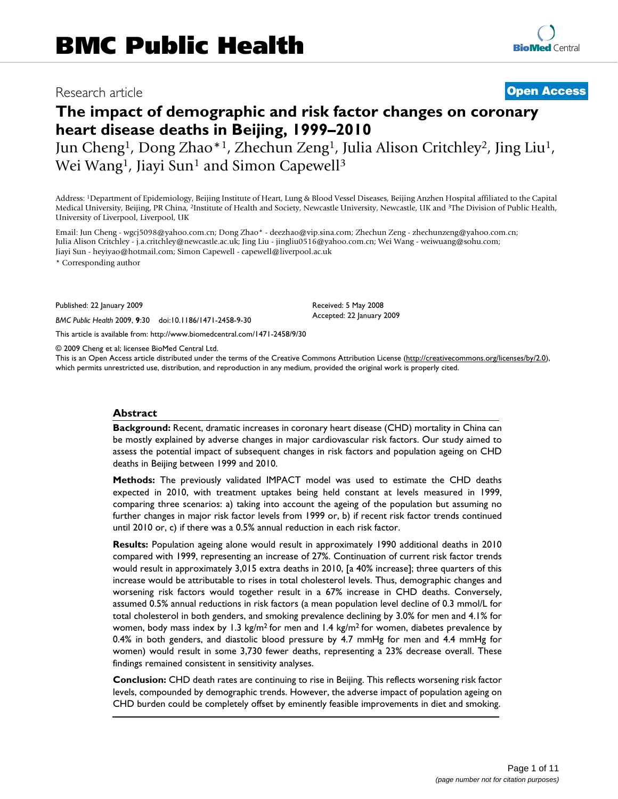# Research article **[Open Access](http://www.biomedcentral.com/info/about/charter/)**

# **The impact of demographic and risk factor changes on coronary heart disease deaths in Beijing, 1999–2010**

Jun Cheng1, Dong Zhao\*1, Zhechun Zeng1, Julia Alison Critchley2, Jing Liu1, Wei Wang<sup>1</sup>, Jiayi Sun<sup>1</sup> and Simon Capewell<sup>3</sup>

Address: 1Department of Epidemiology, Beijing Institute of Heart, Lung & Blood Vessel Diseases, Beijing Anzhen Hospital affiliated to the Capital Medical University, Beijing, PR China, 2Institute of Health and Society, Newcastle University, Newcastle, UK and 3The Division of Public Health, University of Liverpool, Liverpool, UK

Email: Jun Cheng - wgcj5098@yahoo.com.cn; Dong Zhao\* - deezhao@vip.sina.com; Zhechun Zeng - zhechunzeng@yahoo.com.cn; Julia Alison Critchley - j.a.critchley@newcastle.ac.uk; Jing Liu - jingliu0516@yahoo.com.cn; Wei Wang - weiwuang@sohu.com; Jiayi Sun - heyiyao@hotmail.com; Simon Capewell - capewell@liverpool.ac.uk

\* Corresponding author

Published: 22 January 2009

*BMC Public Health* 2009, **9**:30 doi:10.1186/1471-2458-9-30

[This article is available from: http://www.biomedcentral.com/1471-2458/9/30](http://www.biomedcentral.com/1471-2458/9/30)

© 2009 Cheng et al; licensee BioMed Central Ltd.

This is an Open Access article distributed under the terms of the Creative Commons Attribution License [\(http://creativecommons.org/licenses/by/2.0\)](http://creativecommons.org/licenses/by/2.0), which permits unrestricted use, distribution, and reproduction in any medium, provided the original work is properly cited.

Received: 5 May 2008 Accepted: 22 January 2009

#### **Abstract**

**Background:** Recent, dramatic increases in coronary heart disease (CHD) mortality in China can be mostly explained by adverse changes in major cardiovascular risk factors. Our study aimed to assess the potential impact of subsequent changes in risk factors and population ageing on CHD deaths in Beijing between 1999 and 2010.

**Methods:** The previously validated IMPACT model was used to estimate the CHD deaths expected in 2010, with treatment uptakes being held constant at levels measured in 1999, comparing three scenarios: a) taking into account the ageing of the population but assuming no further changes in major risk factor levels from 1999 or, b) if recent risk factor trends continued until 2010 or, c) if there was a 0.5% annual reduction in each risk factor.

**Results:** Population ageing alone would result in approximately 1990 additional deaths in 2010 compared with 1999, representing an increase of 27%. Continuation of current risk factor trends would result in approximately 3,015 extra deaths in 2010, [a 40% increase]; three quarters of this increase would be attributable to rises in total cholesterol levels. Thus, demographic changes and worsening risk factors would together result in a 67% increase in CHD deaths. Conversely, assumed 0.5% annual reductions in risk factors (a mean population level decline of 0.3 mmol/L for total cholesterol in both genders, and smoking prevalence declining by 3.0% for men and 4.1% for women, body mass index by 1.3 kg/m<sup>2</sup> for men and 1.4 kg/m<sup>2</sup> for women, diabetes prevalence by 0.4% in both genders, and diastolic blood pressure by 4.7 mmHg for men and 4.4 mmHg for women) would result in some 3,730 fewer deaths, representing a 23% decrease overall. These findings remained consistent in sensitivity analyses.

**Conclusion:** CHD death rates are continuing to rise in Beijing. This reflects worsening risk factor levels, compounded by demographic trends. However, the adverse impact of population ageing on CHD burden could be completely offset by eminently feasible improvements in diet and smoking.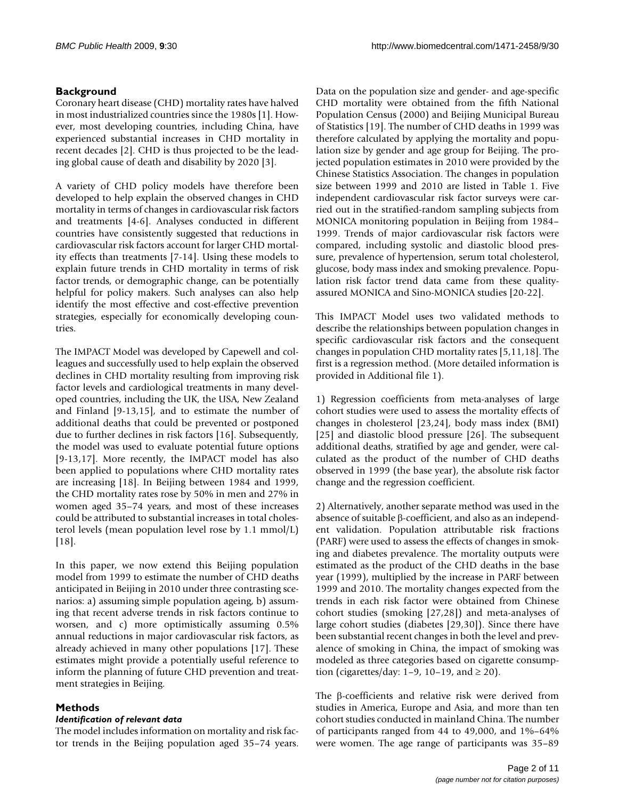# **Background**

Coronary heart disease (CHD) mortality rates have halved in most industrialized countries since the 1980s [\[1](#page-9-0)]. However, most developing countries, including China, have experienced substantial increases in CHD mortality in recent decades [[2](#page-9-1)]. CHD is thus projected to be the leading global cause of death and disability by 2020 [[3](#page-9-2)].

A variety of CHD policy models have therefore been developed to help explain the observed changes in CHD mortality in terms of changes in cardiovascular risk factors and treatments [[4](#page-9-3)[-6\]](#page-9-4). Analyses conducted in different countries have consistently suggested that reductions in cardiovascular risk factors account for larger CHD mortality effects than treatments [\[7](#page-9-5)-[14](#page-9-6)]. Using these models to explain future trends in CHD mortality in terms of risk factor trends, or demographic change, can be potentially helpful for policy makers. Such analyses can also help identify the most effective and cost-effective prevention strategies, especially for economically developing countries.

The IMPACT Model was developed by Capewell and colleagues and successfully used to help explain the observed declines in CHD mortality resulting from improving risk factor levels and cardiological treatments in many developed countries, including the UK, the USA, New Zealand and Finland [[9](#page-9-7)[-13](#page-9-8),[15](#page-9-9)], and to estimate the number of additional deaths that could be prevented or postponed due to further declines in risk factors [\[16](#page-9-10)]. Subsequently, the model was used to evaluate potential future options [[9-](#page-9-7)[13](#page-9-8)[,17](#page-9-11)]. More recently, the IMPACT model has also been applied to populations where CHD mortality rates are increasing [\[18](#page-9-12)]. In Beijing between 1984 and 1999, the CHD mortality rates rose by 50% in men and 27% in women aged 35–74 years, and most of these increases could be attributed to substantial increases in total cholesterol levels (mean population level rose by 1.1 mmol/L)  $[18]$  $[18]$  $[18]$ .

In this paper, we now extend this Beijing population model from 1999 to estimate the number of CHD deaths anticipated in Beijing in 2010 under three contrasting scenarios: a) assuming simple population ageing, b) assuming that recent adverse trends in risk factors continue to worsen, and c) more optimistically assuming 0.5% annual reductions in major cardiovascular risk factors, as already achieved in many other populations [\[17\]](#page-9-11). These estimates might provide a potentially useful reference to inform the planning of future CHD prevention and treatment strategies in Beijing.

# **Methods**

# *Identification of relevant data*

The model includes information on mortality and risk factor trends in the Beijing population aged 35–74 years.

Data on the population size and gender- and age-specific CHD mortality were obtained from the fifth National Population Census (2000) and Beijing Municipal Bureau of Statistics [[19\]](#page-9-13). The number of CHD deaths in 1999 was therefore calculated by applying the mortality and population size by gender and age group for Beijing. The projected population estimates in 2010 were provided by the Chinese Statistics Association. The changes in population size between 1999 and 2010 are listed in Table [1.](#page-2-0) Five independent cardiovascular risk factor surveys were carried out in the stratified-random sampling subjects from MONICA monitoring population in Beijing from 1984– 1999. Trends of major cardiovascular risk factors were compared, including systolic and diastolic blood pressure, prevalence of hypertension, serum total cholesterol, glucose, body mass index and smoking prevalence. Population risk factor trend data came from these qualityassured MONICA and Sino-MONICA studies [\[20](#page-9-14)[-22](#page-10-0)].

This IMPACT Model uses two validated methods to describe the relationships between population changes in specific cardiovascular risk factors and the consequent changes in population CHD mortality rates [\[5](#page-9-15)[,11](#page-9-16),[18\]](#page-9-12). The first is a regression method. (More detailed information is provided in Additional file [1](#page-9-17)).

1) Regression coefficients from meta-analyses of large cohort studies were used to assess the mortality effects of changes in cholesterol [[23](#page-10-1)[,24\]](#page-10-2), body mass index (BMI) [[25](#page-10-3)] and diastolic blood pressure [[26\]](#page-10-4). The subsequent additional deaths, stratified by age and gender, were calculated as the product of the number of CHD deaths observed in 1999 (the base year), the absolute risk factor change and the regression coefficient.

2) Alternatively, another separate method was used in the absence of suitable β-coefficient, and also as an independent validation. Population attributable risk fractions (PARF) were used to assess the effects of changes in smoking and diabetes prevalence. The mortality outputs were estimated as the product of the CHD deaths in the base year (1999), multiplied by the increase in PARF between 1999 and 2010. The mortality changes expected from the trends in each risk factor were obtained from Chinese cohort studies (smoking [\[27](#page-10-5),[28\]](#page-10-6)) and meta-analyses of large cohort studies (diabetes [\[29](#page-10-7),[30](#page-10-8)]). Since there have been substantial recent changes in both the level and prevalence of smoking in China, the impact of smoking was modeled as three categories based on cigarette consumption (cigarettes/day: 1–9, 10–19, and  $\geq$  20).

The β-coefficients and relative risk were derived from studies in America, Europe and Asia, and more than ten cohort studies conducted in mainland China. The number of participants ranged from 44 to 49,000, and 1%–64% were women. The age range of participants was 35–89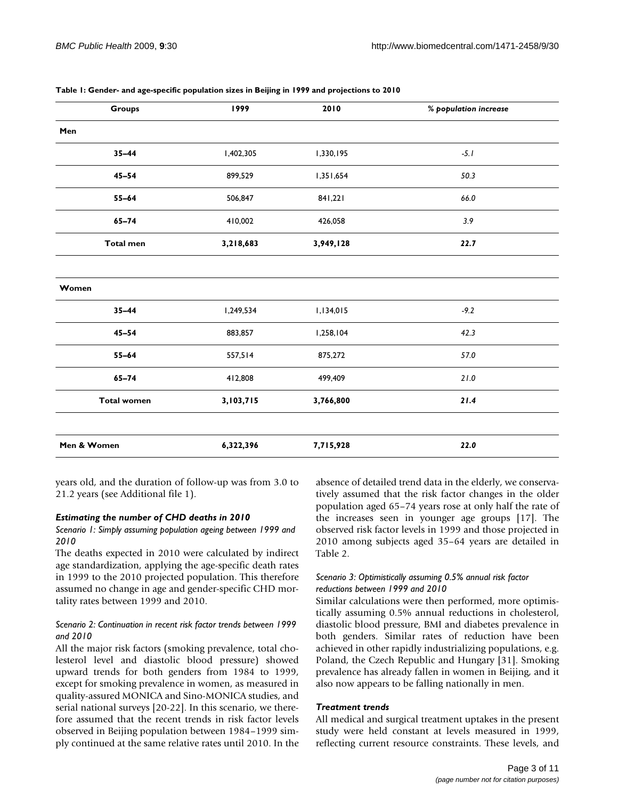| Groups             | 1999      | 2010      | % population increase |
|--------------------|-----------|-----------|-----------------------|
| Men                |           |           |                       |
| $35 - 44$          | 1,402,305 | 1,330,195 | $-5.1$                |
| $45 - 54$          | 899,529   | 1,351,654 | 50.3                  |
| $55 - 64$          | 506,847   | 841,221   | 66.0                  |
| $65 - 74$          | 410,002   | 426,058   | 3.9                   |
| <b>Total men</b>   | 3,218,683 | 3,949,128 | 22.7                  |
|                    |           |           |                       |
| Women              |           |           |                       |
| $35 - 44$          | 1,249,534 | 1,134,015 | $-9.2$                |
| $45 - 54$          | 883,857   | 1,258,104 | 42.3                  |
| $55 - 64$          | 557,514   | 875,272   | 57.0                  |
| $65 - 74$          | 412,808   | 499,409   | $21.0$                |
| <b>Total women</b> | 3,103,715 | 3,766,800 | 21.4                  |
|                    |           |           |                       |
| Men & Women        | 6,322,396 | 7,715,928 | 22.0                  |

<span id="page-2-0"></span>**Table 1: Gender- and age-specific population sizes in Beijing in 1999 and projections to 2010**

years old, and the duration of follow-up was from 3.0 to 21.2 years (see Additional file [1](#page-9-17)).

#### *Estimating the number of CHD deaths in 2010*

### *Scenario 1: Simply assuming population ageing between 1999 and 2010*

The deaths expected in 2010 were calculated by indirect age standardization, applying the age-specific death rates in 1999 to the 2010 projected population. This therefore assumed no change in age and gender-specific CHD mortality rates between 1999 and 2010.

# *Scenario 2: Continuation in recent risk factor trends between 1999 and 2010*

All the major risk factors (smoking prevalence, total cholesterol level and diastolic blood pressure) showed upward trends for both genders from 1984 to 1999, except for smoking prevalence in women, as measured in quality-assured MONICA and Sino-MONICA studies, and serial national surveys [\[20](#page-9-14)[-22](#page-10-0)]. In this scenario, we therefore assumed that the recent trends in risk factor levels observed in Beijing population between 1984–1999 simply continued at the same relative rates until 2010. In the absence of detailed trend data in the elderly, we conservatively assumed that the risk factor changes in the older population aged 65–74 years rose at only half the rate of the increases seen in younger age groups [\[17](#page-9-11)]. The observed risk factor levels in 1999 and those projected in 2010 among subjects aged 35–64 years are detailed in Table [2.](#page-3-0)

# *Scenario 3: Optimistically assuming 0.5% annual risk factor reductions between 1999 and 2010*

Similar calculations were then performed, more optimistically assuming 0.5% annual reductions in cholesterol, diastolic blood pressure, BMI and diabetes prevalence in both genders. Similar rates of reduction have been achieved in other rapidly industrializing populations, e.g. Poland, the Czech Republic and Hungary [[31](#page-10-9)]. Smoking prevalence has already fallen in women in Beijing, and it also now appears to be falling nationally in men.

#### *Treatment trends*

All medical and surgical treatment uptakes in the present study were held constant at levels measured in 1999, reflecting current resource constraints. These levels, and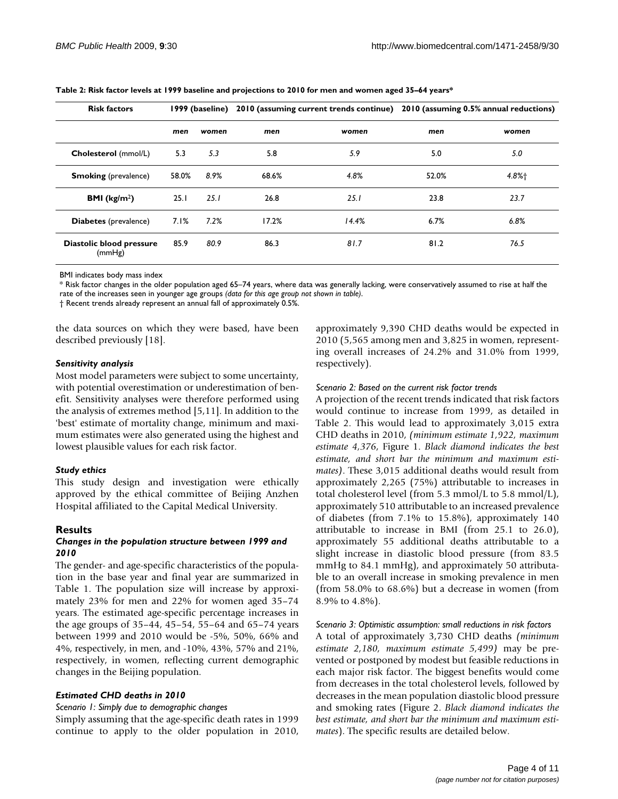| <b>Risk factors</b>                |       | 1999 (baseline) |       |       | 2010 (assuming current trends continue) 2010 (assuming 0.5% annual reductions) |       |
|------------------------------------|-------|-----------------|-------|-------|--------------------------------------------------------------------------------|-------|
|                                    | men   | women           | men   | women | men                                                                            | women |
| Cholesterol (mmol/L)               | 5.3   | 5.3             | 5.8   | 5.9   | 5.0                                                                            | 5.0   |
| <b>Smoking</b> (prevalence)        | 58.0% | 8.9%            | 68.6% | 4.8%  | 52.0%                                                                          | 4.8%+ |
| <b>BMI</b> ( $kg/m2$ )             | 25.1  | 25.1            | 26.8  | 25.1  | 23.8                                                                           | 23.7  |
| <b>Diabetes</b> (prevalence)       | 7.1%  | 7.2%            | 17.2% | 14.4% | 6.7%                                                                           | 6.8%  |
| Diastolic blood pressure<br>(mmHg) | 85.9  | 80.9            | 86.3  | 81.7  | 81.2                                                                           | 76.5  |

<span id="page-3-0"></span>**Table 2: Risk factor levels at 1999 baseline and projections to 2010 for men and women aged 35–64 years\***

BMI indicates body mass index

\* Risk factor changes in the older population aged 65–74 years, where data was generally lacking, were conservatively assumed to rise at half the rate of the increases seen in younger age groups *(data for this age group not shown in table)*.

† Recent trends already represent an annual fall of approximately 0.5%.

the data sources on which they were based, have been described previously [\[18](#page-9-12)].

#### *Sensitivity analysis*

Most model parameters were subject to some uncertainty, with potential overestimation or underestimation of benefit. Sensitivity analyses were therefore performed using the analysis of extremes method [\[5,](#page-9-15)[11\]](#page-9-16). In addition to the 'best' estimate of mortality change, minimum and maximum estimates were also generated using the highest and lowest plausible values for each risk factor.

#### *Study ethics*

This study design and investigation were ethically approved by the ethical committee of Beijing Anzhen Hospital affiliated to the Capital Medical University.

#### **Results**

#### *Changes in the population structure between 1999 and 2010*

The gender- and age-specific characteristics of the population in the base year and final year are summarized in Table [1](#page-2-0). The population size will increase by approximately 23% for men and 22% for women aged 35–74 years. The estimated age-specific percentage increases in the age groups of 35–44, 45–54, 55–64 and 65–74 years between 1999 and 2010 would be -5%, 50%, 66% and 4%, respectively, in men, and -10%, 43%, 57% and 21%, respectively, in women, reflecting current demographic changes in the Beijing population.

#### *Estimated CHD deaths in 2010*

#### *Scenario 1: Simply due to demographic changes*

Simply assuming that the age-specific death rates in 1999 continue to apply to the older population in 2010,

approximately 9,390 CHD deaths would be expected in 2010 (5,565 among men and 3,825 in women, representing overall increases of 24.2% and 31.0% from 1999, respectively).

#### *Scenario 2: Based on the current risk factor trends*

A projection of the recent trends indicated that risk factors would continue to increase from 1999, as detailed in Table [2.](#page-3-0) This would lead to approximately 3,015 extra CHD deaths in 2010, *(minimum estimate 1,922, maximum estimate 4,376*, Figure [1.](#page-4-0) *Black diamond indicates the best estimate, and short bar the minimum and maximum estimates)*. These 3,015 additional deaths would result from approximately 2,265 (75%) attributable to increases in total cholesterol level (from 5.3 mmol/L to 5.8 mmol/L), approximately 510 attributable to an increased prevalence of diabetes (from 7.1% to 15.8%), approximately 140 attributable to increase in BMI (from 25.1 to 26.0), approximately 55 additional deaths attributable to a slight increase in diastolic blood pressure (from 83.5 mmHg to 84.1 mmHg), and approximately 50 attributable to an overall increase in smoking prevalence in men (from 58.0% to 68.6%) but a decrease in women (from 8.9% to 4.8%).

#### *Scenario 3: Optimistic assumption: small reductions in risk factors*

A total of approximately 3,730 CHD deaths *(minimum estimate 2,180, maximum estimate 5,499)* may be prevented or postponed by modest but feasible reductions in each major risk factor. The biggest benefits would come from decreases in the total cholesterol levels, followed by decreases in the mean population diastolic blood pressure and smoking rates (Figure [2.](#page-5-0) *Black diamond indicates the best estimate, and short bar the minimum and maximum estimates*). The specific results are detailed below.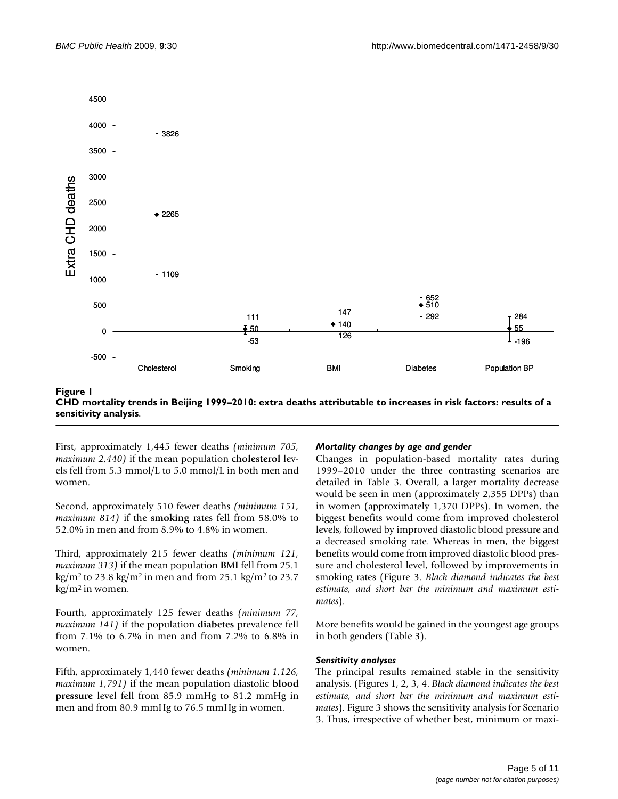<span id="page-4-0"></span>

CHD mortality trends in Beijing 1999–2010: extr **Figure 1** a deaths attributable to increases in risk factors: results of a sensitivity analysis **CHD mortality trends in Beijing 1999–2010: extra deaths attributable to increases in risk factors: results of a sensitivity analysis**.

First, approximately 1,445 fewer deaths *(minimum 705, maximum 2,440)* if the mean population **cholesterol** levels fell from 5.3 mmol/L to 5.0 mmol/L in both men and women.

Second, approximately 510 fewer deaths *(minimum 151, maximum 814)* if the **smoking** rates fell from 58.0% to 52.0% in men and from 8.9% to 4.8% in women.

Third, approximately 215 fewer deaths *(minimum 121, maximum 313)* if the mean population **BMI** fell from 25.1 kg/m<sup>2</sup> to 23.8 kg/m<sup>2</sup> in men and from 25.1 kg/m<sup>2</sup> to 23.7 kg/m2 in women.

Fourth, approximately 125 fewer deaths *(minimum 77, maximum 141)* if the population **diabetes** prevalence fell from 7.1% to 6.7% in men and from 7.2% to 6.8% in women.

Fifth, approximately 1,440 fewer deaths *(minimum 1,126, maximum 1,791)* if the mean population diastolic **blood pressure** level fell from 85.9 mmHg to 81.2 mmHg in men and from 80.9 mmHg to 76.5 mmHg in women.

#### *Mortality changes by age and gender*

Changes in population-based mortality rates during 1999–2010 under the three contrasting scenarios are detailed in Table [3.](#page-7-0) Overall, a larger mortality decrease would be seen in men (approximately 2,355 DPPs) than in women (approximately 1,370 DPPs). In women, the biggest benefits would come from improved cholesterol levels, followed by improved diastolic blood pressure and a decreased smoking rate. Whereas in men, the biggest benefits would come from improved diastolic blood pressure and cholesterol level, followed by improvements in smoking rates (Figure [3.](#page-6-0) *Black diamond indicates the best estimate, and short bar the minimum and maximum estimates*).

More benefits would be gained in the youngest age groups in both genders (Table [3](#page-7-0)).

#### *Sensitivity analyses*

The principal results remained stable in the sensitivity analysis. (Figures [1,](#page-4-0) [2,](#page-5-0) [3,](#page-6-0) [4](#page-8-0). *Black diamond indicates the best estimate, and short bar the minimum and maximum estimates*). Figure [3](#page-6-0) shows the sensitivity analysis for Scenario 3. Thus, irrespective of whether best, minimum or maxi-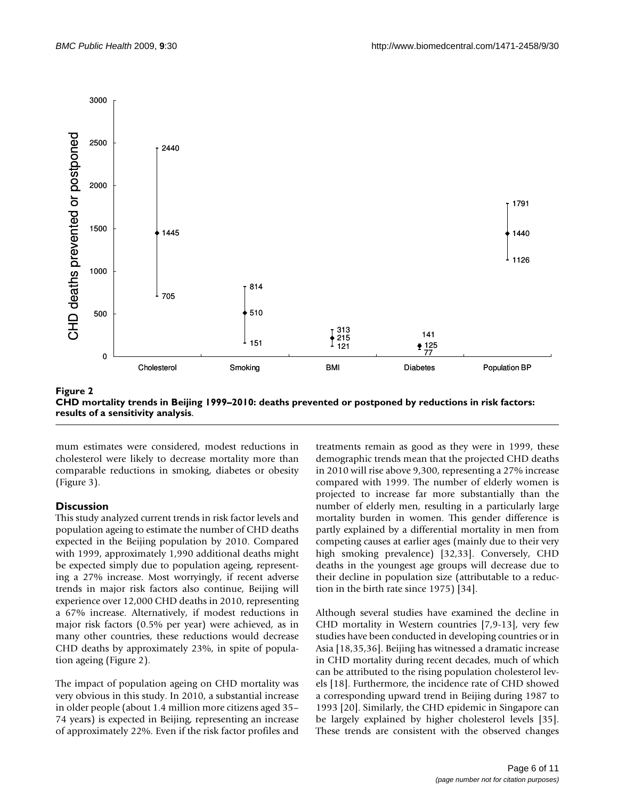<span id="page-5-0"></span>

CHD mortality trends in Beijing 1999–2010: deaths prevented or po ity analysis **Figure 2** stponed by reductions in risk factors: results of a sensitiv-**CHD mortality trends in Beijing 1999–2010: deaths prevented or postponed by reductions in risk factors: results of a sensitivity analysis**.

mum estimates were considered, modest reductions in cholesterol were likely to decrease mortality more than comparable reductions in smoking, diabetes or obesity (Figure [3](#page-6-0)).

# **Discussion**

This study analyzed current trends in risk factor levels and population ageing to estimate the number of CHD deaths expected in the Beijing population by 2010. Compared with 1999, approximately 1,990 additional deaths might be expected simply due to population ageing, representing a 27% increase. Most worryingly, if recent adverse trends in major risk factors also continue, Beijing will experience over 12,000 CHD deaths in 2010, representing a 67% increase. Alternatively, if modest reductions in major risk factors (0.5% per year) were achieved, as in many other countries, these reductions would decrease CHD deaths by approximately 23%, in spite of population ageing (Figure [2\)](#page-5-0).

The impact of population ageing on CHD mortality was very obvious in this study. In 2010, a substantial increase in older people (about 1.4 million more citizens aged 35– 74 years) is expected in Beijing, representing an increase of approximately 22%. Even if the risk factor profiles and

treatments remain as good as they were in 1999, these demographic trends mean that the projected CHD deaths in 2010 will rise above 9,300, representing a 27% increase compared with 1999. The number of elderly women is projected to increase far more substantially than the number of elderly men, resulting in a particularly large mortality burden in women. This gender difference is partly explained by a differential mortality in men from competing causes at earlier ages (mainly due to their very high smoking prevalence) [[32](#page-10-10)[,33](#page-10-11)]. Conversely, CHD deaths in the youngest age groups will decrease due to their decline in population size (attributable to a reduction in the birth rate since 1975) [[34](#page-10-12)].

Although several studies have examined the decline in CHD mortality in Western countries [\[7,](#page-9-5)[9-](#page-9-7)[13](#page-9-8)], very few studies have been conducted in developing countries or in Asia [\[18](#page-9-12),[35,](#page-10-13)[36\]](#page-10-14). Beijing has witnessed a dramatic increase in CHD mortality during recent decades, much of which can be attributed to the rising population cholesterol levels [\[18](#page-9-12)]. Furthermore, the incidence rate of CHD showed a corresponding upward trend in Beijing during 1987 to 1993 [[20](#page-9-14)]. Similarly, the CHD epidemic in Singapore can be largely explained by higher cholesterol levels [\[35](#page-10-13)]. These trends are consistent with the observed changes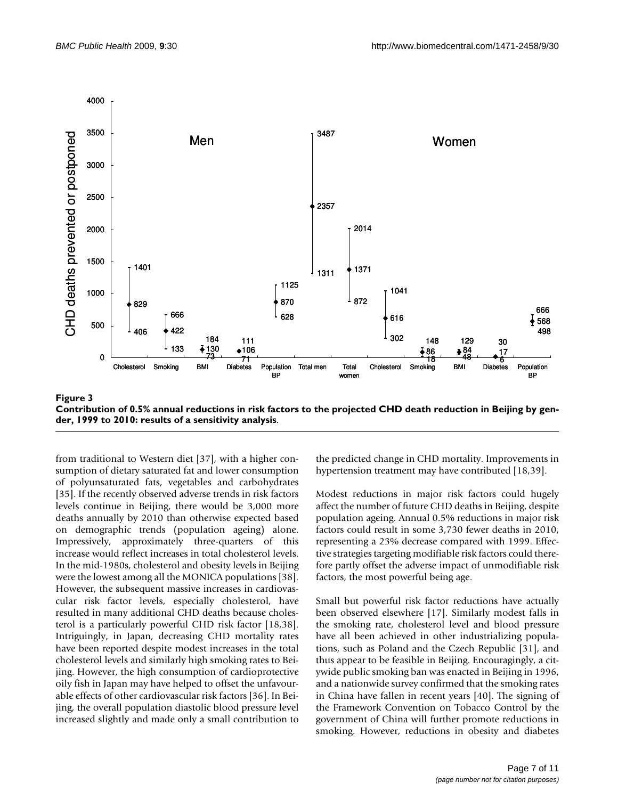<span id="page-6-0"></span>

**Contribution of 0.5% annual reductions in risk factors to the projected CHD death reduction in Beijing by gender, 1999 to 2010: results of a sensitivity analysis**.

from traditional to Western diet [[37\]](#page-10-15), with a higher consumption of dietary saturated fat and lower consumption of polyunsaturated fats, vegetables and carbohydrates [[35](#page-10-13)]. If the recently observed adverse trends in risk factors levels continue in Beijing, there would be 3,000 more deaths annually by 2010 than otherwise expected based on demographic trends (population ageing) alone. Impressively, approximately three-quarters of this increase would reflect increases in total cholesterol levels. In the mid-1980s, cholesterol and obesity levels in Beijing were the lowest among all the MONICA populations [\[38](#page-10-16)]. However, the subsequent massive increases in cardiovascular risk factor levels, especially cholesterol, have resulted in many additional CHD deaths because cholesterol is a particularly powerful CHD risk factor [[18](#page-9-12)[,38](#page-10-16)]. Intriguingly, in Japan, decreasing CHD mortality rates have been reported despite modest increases in the total cholesterol levels and similarly high smoking rates to Beijing. However, the high consumption of cardioprotective oily fish in Japan may have helped to offset the unfavourable effects of other cardiovascular risk factors [\[36\]](#page-10-14). In Beijing, the overall population diastolic blood pressure level increased slightly and made only a small contribution to

the predicted change in CHD mortality. Improvements in hypertension treatment may have contributed [\[18](#page-9-12)[,39](#page-10-17)].

Modest reductions in major risk factors could hugely affect the number of future CHD deaths in Beijing, despite population ageing. Annual 0.5% reductions in major risk factors could result in some 3,730 fewer deaths in 2010, representing a 23% decrease compared with 1999. Effective strategies targeting modifiable risk factors could therefore partly offset the adverse impact of unmodifiable risk factors, the most powerful being age.

Small but powerful risk factor reductions have actually been observed elsewhere [\[17\]](#page-9-11). Similarly modest falls in the smoking rate, cholesterol level and blood pressure have all been achieved in other industrializing populations, such as Poland and the Czech Republic [[31\]](#page-10-9), and thus appear to be feasible in Beijing. Encouragingly, a citywide public smoking ban was enacted in Beijing in 1996, and a nationwide survey confirmed that the smoking rates in China have fallen in recent years [[40\]](#page-10-18). The signing of the Framework Convention on Tobacco Control by the government of China will further promote reductions in smoking. However, reductions in obesity and diabetes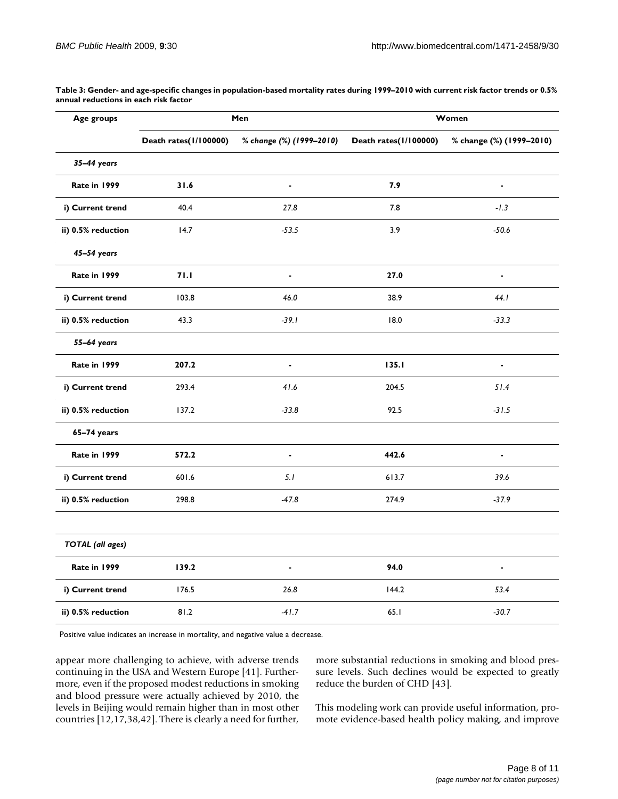| Age groups              | Men                   |                          | Women                 |                          |  |
|-------------------------|-----------------------|--------------------------|-----------------------|--------------------------|--|
|                         | Death rates(1/100000) | % change (%) (1999-2010) | Death rates(1/100000) | % change (%) (1999-2010) |  |
| 35-44 years             |                       |                          |                       |                          |  |
| Rate in 1999            | 31.6                  | ÷.                       | 7.9                   | ÷.                       |  |
| i) Current trend        | 40.4                  | 27.8                     | 7.8                   | $-1.3$                   |  |
| ii) 0.5% reduction      | 14.7                  | $-53.5$                  | 3.9                   | $-50.6$                  |  |
| 45-54 years             |                       |                          |                       |                          |  |
| Rate in 1999            | 71.1                  | $\blacksquare$           | 27.0                  | $\blacksquare$           |  |
| i) Current trend        | 103.8                 | 46.0                     | 38.9                  | 44.1                     |  |
| ii) 0.5% reduction      | 43.3                  | $-39.1$                  | 18.0                  | $-33.3$                  |  |
| 55-64 years             |                       |                          |                       |                          |  |
| Rate in 1999            | 207.2                 | ÷.                       | 135.1                 | $\blacksquare$           |  |
| i) Current trend        | 293.4                 | 41.6                     | 204.5                 | 51.4                     |  |
| ii) 0.5% reduction      | 137.2                 | $-33.8$                  | 92.5                  | $-31.5$                  |  |
| 65-74 years             |                       |                          |                       |                          |  |
| Rate in 1999            | 572.2                 | $\blacksquare$           | 442.6                 | $\overline{\phantom{a}}$ |  |
| i) Current trend        | 601.6                 | 5.1                      | 613.7                 | 39.6                     |  |
| ii) 0.5% reduction      | 298.8                 | $-47.8$                  | 274.9                 | $-37.9$                  |  |
|                         |                       |                          |                       |                          |  |
| <b>TOTAL</b> (all ages) |                       |                          |                       |                          |  |
| Rate in 1999            | 139.2                 | $\blacksquare$           | 94.0                  | $\blacksquare$           |  |
| i) Current trend        | 176.5                 | 26.8                     | 144.2                 | 53.4                     |  |
| ii) 0.5% reduction      | 81.2                  | $-41.7$                  | 65.1                  | $-30.7$                  |  |

<span id="page-7-0"></span>**Table 3: Gender- and age-specific changes in population-based mortality rates during 1999–2010 with current risk factor trends or 0.5% annual reductions in each risk factor**

Positive value indicates an increase in mortality, and negative value a decrease.

appear more challenging to achieve, with adverse trends continuing in the USA and Western Europe [\[41\]](#page-10-19). Furthermore, even if the proposed modest reductions in smoking and blood pressure were actually achieved by 2010, the levels in Beijing would remain higher than in most other countries [\[12](#page-9-18),[17](#page-9-11)[,38](#page-10-16)[,42](#page-10-20)]. There is clearly a need for further,

more substantial reductions in smoking and blood pressure levels. Such declines would be expected to greatly reduce the burden of CHD [\[43](#page-10-21)].

This modeling work can provide useful information, promote evidence-based health policy making, and improve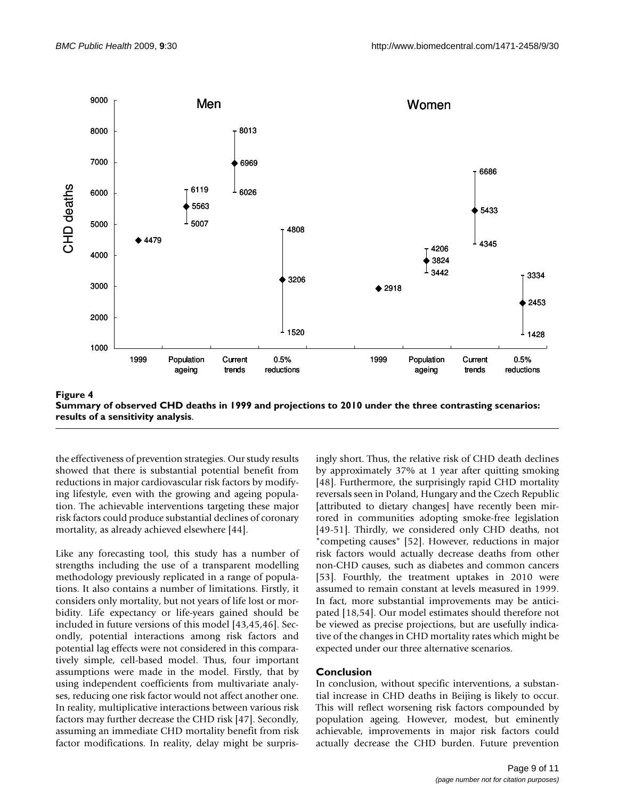<span id="page-8-0"></span>

**Summary of observed CHD deaths in 1999 and projections to 2010 under the three contrasting scenarios: results of a sensitivity analysis**.

the effectiveness of prevention strategies. Our study results showed that there is substantial potential benefit from reductions in major cardiovascular risk factors by modifying lifestyle, even with the growing and ageing population. The achievable interventions targeting these major risk factors could produce substantial declines of coronary mortality, as already achieved elsewhere [\[44](#page-10-22)].

Like any forecasting tool, this study has a number of strengths including the use of a transparent modelling methodology previously replicated in a range of populations. It also contains a number of limitations. Firstly, it considers only mortality, but not years of life lost or morbidity. Life expectancy or life-years gained should be included in future versions of this model [\[43](#page-10-21),[45,](#page-10-23)[46\]](#page-10-24). Secondly, potential interactions among risk factors and potential lag effects were not considered in this comparatively simple, cell-based model. Thus, four important assumptions were made in the model. Firstly, that by using independent coefficients from multivariate analyses, reducing one risk factor would not affect another one. In reality, multiplicative interactions between various risk factors may further decrease the CHD risk [\[47](#page-10-25)]. Secondly, assuming an immediate CHD mortality benefit from risk factor modifications. In reality, delay might be surprisingly short. Thus, the relative risk of CHD death declines by approximately 37% at 1 year after quitting smoking [[48](#page-10-26)]. Furthermore, the surprisingly rapid CHD mortality reversals seen in Poland, Hungary and the Czech Republic [attributed to dietary changes] have recently been mirrored in communities adopting smoke-free legislation [[49](#page-10-27)[-51](#page-10-28)]. Thirdly, we considered only CHD deaths, not "competing causes" [[52\]](#page-10-29). However, reductions in major risk factors would actually decrease deaths from other non-CHD causes, such as diabetes and common cancers [[53](#page-10-30)]. Fourthly, the treatment uptakes in 2010 were assumed to remain constant at levels measured in 1999. In fact, more substantial improvements may be anticipated [[18,](#page-9-12)[54\]](#page-10-31). Our model estimates should therefore not be viewed as precise projections, but are usefully indicative of the changes in CHD mortality rates which might be expected under our three alternative scenarios.

# **Conclusion**

In conclusion, without specific interventions, a substantial increase in CHD deaths in Beijing is likely to occur. This will reflect worsening risk factors compounded by population ageing. However, modest, but eminently achievable, improvements in major risk factors could actually decrease the CHD burden. Future prevention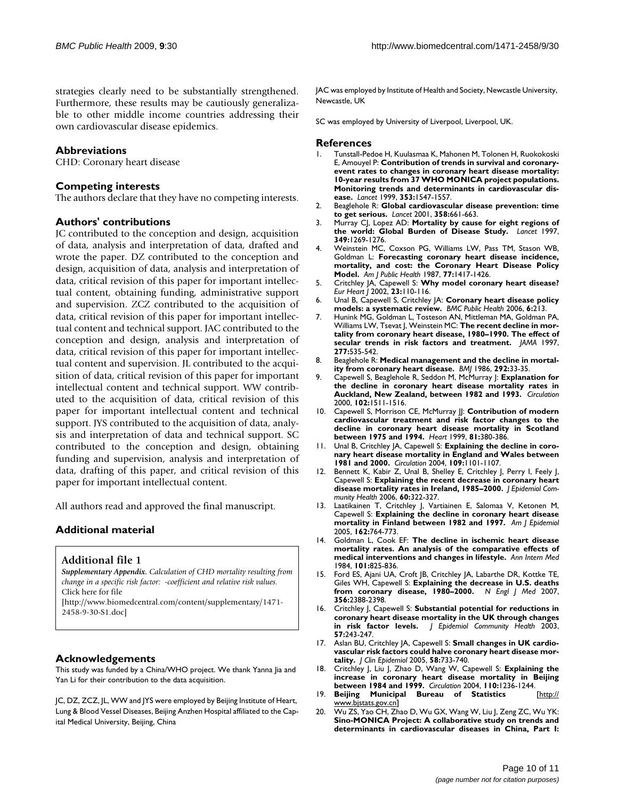strategies clearly need to be substantially strengthened. Furthermore, these results may be cautiously generalizable to other middle income countries addressing their own cardiovascular disease epidemics.

# **Abbreviations**

CHD: Coronary heart disease

#### **Competing interests**

The authors declare that they have no competing interests.

#### **Authors' contributions**

JC contributed to the conception and design, acquisition of data, analysis and interpretation of data, drafted and wrote the paper. DZ contributed to the conception and design, acquisition of data, analysis and interpretation of data, critical revision of this paper for important intellectual content, obtaining funding, administrative support and supervision. ZCZ contributed to the acquisition of data, critical revision of this paper for important intellectual content and technical support. JAC contributed to the conception and design, analysis and interpretation of data, critical revision of this paper for important intellectual content and supervision. JL contributed to the acquisition of data, critical revision of this paper for important intellectual content and technical support. WW contributed to the acquisition of data, critical revision of this paper for important intellectual content and technical support. JYS contributed to the acquisition of data, analysis and interpretation of data and technical support. SC contributed to the conception and design, obtaining funding and supervision, analysis and interpretation of data, drafting of this paper, and critical revision of this paper for important intellectual content.

All authors read and approved the final manuscript.

# **Additional material**

#### <span id="page-9-17"></span>**Additional file 1**

*Supplementary Appendix. Calculation of CHD mortality resulting from change in a specific risk factor: -coefficient and relative risk values.* Click here for file [\[http://www.biomedcentral.com/content/supplementary/1471-](http://www.biomedcentral.com/content/supplementary/1471-2458-9-30-S1.doc)

2458-9-30-S1.doc]

#### **Acknowledgements**

This study was funded by a China/WHO project. We thank Yanna Jia and Yan Li for their contribution to the data acquisition.

JC, DZ, ZCZ, JL, WW and JYS were employed by Beijing Institute of Heart, Lung & Blood Vessel Diseases, Beijing Anzhen Hospital affiliated to the Capital Medical University, Beijing, China

JAC was employed by Institute of Health and Society, Newcastle University, Newcastle, UK

SC was employed by University of Liverpool, Liverpool, UK.

#### **References**

- <span id="page-9-0"></span>1. Tunstall-Pedoe H, Kuulasmaa K, Mahonen M, Tolonen H, Ruokokoski E, Amouyel P: **[Contribution of trends in survival and coronary](http://www.ncbi.nlm.nih.gov/entrez/query.fcgi?cmd=Retrieve&db=PubMed&dopt=Abstract&list_uids=10334252)event rates to changes in coronary heart disease mortality: [10-year results from 37 WHO MONICA project populations.](http://www.ncbi.nlm.nih.gov/entrez/query.fcgi?cmd=Retrieve&db=PubMed&dopt=Abstract&list_uids=10334252) Monitoring trends and determinants in cardiovascular dis[ease.](http://www.ncbi.nlm.nih.gov/entrez/query.fcgi?cmd=Retrieve&db=PubMed&dopt=Abstract&list_uids=10334252)** *Lancet* 1999, **353:**1547-1557.
- <span id="page-9-1"></span>2. Beaglehole R: **[Global cardiovascular disease prevention: time](http://www.ncbi.nlm.nih.gov/entrez/query.fcgi?cmd=Retrieve&db=PubMed&dopt=Abstract&list_uids=11530175) [to get serious.](http://www.ncbi.nlm.nih.gov/entrez/query.fcgi?cmd=Retrieve&db=PubMed&dopt=Abstract&list_uids=11530175)** *Lancet* 2001, **358:**661-663.
- <span id="page-9-2"></span>3. Murray CJ, Lopez AD: **[Mortality by cause for eight regions of](http://www.ncbi.nlm.nih.gov/entrez/query.fcgi?cmd=Retrieve&db=PubMed&dopt=Abstract&list_uids=9142060) [the world: Global Burden of Disease Study.](http://www.ncbi.nlm.nih.gov/entrez/query.fcgi?cmd=Retrieve&db=PubMed&dopt=Abstract&list_uids=9142060)** *Lancet* 1997, **349:**1269-1276.
- <span id="page-9-3"></span>4. Weinstein MC, Coxson PG, Williams LW, Pass TM, Stason WB, Goldman L: **[Forecasting coronary heart disease incidence,](http://www.ncbi.nlm.nih.gov/entrez/query.fcgi?cmd=Retrieve&db=PubMed&dopt=Abstract&list_uids=3661794) [mortality, and cost: the Coronary Heart Disease Policy](http://www.ncbi.nlm.nih.gov/entrez/query.fcgi?cmd=Retrieve&db=PubMed&dopt=Abstract&list_uids=3661794) [Model.](http://www.ncbi.nlm.nih.gov/entrez/query.fcgi?cmd=Retrieve&db=PubMed&dopt=Abstract&list_uids=3661794)** *Am J Public Health* 1987, **77:**1417-1426.
- <span id="page-9-15"></span>5. Critchley JA, Capewell S: **[Why model coronary heart disease?](http://www.ncbi.nlm.nih.gov/entrez/query.fcgi?cmd=Retrieve&db=PubMed&dopt=Abstract&list_uids=11785992)** *Eur Heart J* 2002, **23:**110-116.
- <span id="page-9-4"></span>6. Unal B, Capewell S, Critchley JA: **[Coronary heart disease policy](http://www.ncbi.nlm.nih.gov/entrez/query.fcgi?cmd=Retrieve&db=PubMed&dopt=Abstract&list_uids=16919155) [models: a systematic review.](http://www.ncbi.nlm.nih.gov/entrez/query.fcgi?cmd=Retrieve&db=PubMed&dopt=Abstract&list_uids=16919155)** *BMC Public Health* 2006, **6:**213.
- <span id="page-9-5"></span>7. Hunink MG, Goldman L, Tosteson AN, Mittleman MA, Goldman PA, Williams LW, Tsevat J, Weinstein MC: **[The recent decline in mor](http://www.ncbi.nlm.nih.gov/entrez/query.fcgi?cmd=Retrieve&db=PubMed&dopt=Abstract&list_uids=9032159)[tality from coronary heart disease, 1980–1990. The effect of](http://www.ncbi.nlm.nih.gov/entrez/query.fcgi?cmd=Retrieve&db=PubMed&dopt=Abstract&list_uids=9032159) [secular trends in risk factors and treatment.](http://www.ncbi.nlm.nih.gov/entrez/query.fcgi?cmd=Retrieve&db=PubMed&dopt=Abstract&list_uids=9032159)** *JAMA* 1997, **277:**535-542.
- 8. Beaglehole R: **[Medical management and the decline in mortal](http://www.ncbi.nlm.nih.gov/entrez/query.fcgi?cmd=Retrieve&db=PubMed&dopt=Abstract&list_uids=2867803)[ity from coronary heart disease.](http://www.ncbi.nlm.nih.gov/entrez/query.fcgi?cmd=Retrieve&db=PubMed&dopt=Abstract&list_uids=2867803)** *BMJ* 1986, **292:**33-35.
- <span id="page-9-7"></span>9. Capewell S, Beaglehole R, Seddon M, McMurray J: **[Explanation for](http://www.ncbi.nlm.nih.gov/entrez/query.fcgi?cmd=Retrieve&db=PubMed&dopt=Abstract&list_uids=11004141) [the decline in coronary heart disease mortality rates in](http://www.ncbi.nlm.nih.gov/entrez/query.fcgi?cmd=Retrieve&db=PubMed&dopt=Abstract&list_uids=11004141) [Auckland, New Zealand, between 1982 and 1993.](http://www.ncbi.nlm.nih.gov/entrez/query.fcgi?cmd=Retrieve&db=PubMed&dopt=Abstract&list_uids=11004141)** *Circulation* 2000, **102:**1511-1516.
- 10. Capewell S, Morrison CE, McMurray JJ: **[Contribution of modern](http://www.ncbi.nlm.nih.gov/entrez/query.fcgi?cmd=Retrieve&db=PubMed&dopt=Abstract&list_uids=10092564) [cardiovascular treatment and risk factor changes to the](http://www.ncbi.nlm.nih.gov/entrez/query.fcgi?cmd=Retrieve&db=PubMed&dopt=Abstract&list_uids=10092564) decline in coronary heart disease mortality in Scotland [between 1975 and 1994.](http://www.ncbi.nlm.nih.gov/entrez/query.fcgi?cmd=Retrieve&db=PubMed&dopt=Abstract&list_uids=10092564)** *Heart* 1999, **81:**380-386.
- <span id="page-9-16"></span>11. Unal B, Critchley JA, Capewell S: **[Explaining the decline in coro](http://www.ncbi.nlm.nih.gov/entrez/query.fcgi?cmd=Retrieve&db=PubMed&dopt=Abstract&list_uids=14993137)[nary heart disease mortality in England and Wales between](http://www.ncbi.nlm.nih.gov/entrez/query.fcgi?cmd=Retrieve&db=PubMed&dopt=Abstract&list_uids=14993137) [1981 and 2000.](http://www.ncbi.nlm.nih.gov/entrez/query.fcgi?cmd=Retrieve&db=PubMed&dopt=Abstract&list_uids=14993137)** *Circulation* 2004, **109:**1101-1107.
- <span id="page-9-18"></span>12. Bennett K, Kabir Z, Unal B, Shelley E, Critchley J, Perry I, Feely J, Capewell S: **[Explaining the recent decrease in coronary heart](http://www.ncbi.nlm.nih.gov/entrez/query.fcgi?cmd=Retrieve&db=PubMed&dopt=Abstract&list_uids=16537349) [disease mortality rates in Ireland, 1985–2000.](http://www.ncbi.nlm.nih.gov/entrez/query.fcgi?cmd=Retrieve&db=PubMed&dopt=Abstract&list_uids=16537349)** *J Epidemiol Community Health* 2006, **60:**322-327.
- <span id="page-9-8"></span>13. Laatikainen T, Critchley J, Vartiainen E, Salomaa V, Ketonen M, Capewell S: **[Explaining the decline in coronary heart disease](http://www.ncbi.nlm.nih.gov/entrez/query.fcgi?cmd=Retrieve&db=PubMed&dopt=Abstract&list_uids=16150890) [mortality in Finland between 1982 and 1997.](http://www.ncbi.nlm.nih.gov/entrez/query.fcgi?cmd=Retrieve&db=PubMed&dopt=Abstract&list_uids=16150890)** *Am J Epidemiol* 2005, **162:**764-773.
- <span id="page-9-6"></span>14. Goldman L, Cook EF: **[The decline in ischemic heart disease](http://www.ncbi.nlm.nih.gov/entrez/query.fcgi?cmd=Retrieve&db=PubMed&dopt=Abstract&list_uids=6388454) [mortality rates. An analysis of the comparative effects of](http://www.ncbi.nlm.nih.gov/entrez/query.fcgi?cmd=Retrieve&db=PubMed&dopt=Abstract&list_uids=6388454) [medical interventions and changes in lifestyle.](http://www.ncbi.nlm.nih.gov/entrez/query.fcgi?cmd=Retrieve&db=PubMed&dopt=Abstract&list_uids=6388454)** *Ann Intern Med* 1984, **101:**825-836.
- <span id="page-9-9"></span>15. Ford ES, Ajani UA, Croft JB, Critchley JA, Labarthe DR, Kottke TE, Giles WH, Capewell S: **[Explaining the decrease in U.S. deaths](http://www.ncbi.nlm.nih.gov/entrez/query.fcgi?cmd=Retrieve&db=PubMed&dopt=Abstract&list_uids=17554120) [from coronary disease, 1980–2000.](http://www.ncbi.nlm.nih.gov/entrez/query.fcgi?cmd=Retrieve&db=PubMed&dopt=Abstract&list_uids=17554120)** *N Engl J Med* 2007, **356:**2388-2398.
- <span id="page-9-10"></span>16. Critchley J, Capewell S: **[Substantial potential for reductions in](http://www.ncbi.nlm.nih.gov/entrez/query.fcgi?cmd=Retrieve&db=PubMed&dopt=Abstract&list_uids=12646537) [coronary heart disease mortality in the UK through changes](http://www.ncbi.nlm.nih.gov/entrez/query.fcgi?cmd=Retrieve&db=PubMed&dopt=Abstract&list_uids=12646537) [in risk factor levels.](http://www.ncbi.nlm.nih.gov/entrez/query.fcgi?cmd=Retrieve&db=PubMed&dopt=Abstract&list_uids=12646537)** *J Epidemiol Community Health* 2003, **57:**243-247.
- <span id="page-9-11"></span>17. Aslan BU, Critchley JA, Capewell S: **[Small changes in UK cardio](http://www.ncbi.nlm.nih.gov/entrez/query.fcgi?cmd=Retrieve&db=PubMed&dopt=Abstract&list_uids=15939226)[vascular risk factors could halve coronary heart disease mor](http://www.ncbi.nlm.nih.gov/entrez/query.fcgi?cmd=Retrieve&db=PubMed&dopt=Abstract&list_uids=15939226)[tality.](http://www.ncbi.nlm.nih.gov/entrez/query.fcgi?cmd=Retrieve&db=PubMed&dopt=Abstract&list_uids=15939226)** *J Clin Epidemiol* 2005, **58:**733-740.
- <span id="page-9-12"></span>18. Critchley J, Liu J, Zhao D, Wang W, Capewell S: **[Explaining the](http://www.ncbi.nlm.nih.gov/entrez/query.fcgi?cmd=Retrieve&db=PubMed&dopt=Abstract&list_uids=15337690) [increase in coronary heart disease mortality in Beijing](http://www.ncbi.nlm.nih.gov/entrez/query.fcgi?cmd=Retrieve&db=PubMed&dopt=Abstract&list_uids=15337690) [between 1984 and 1999.](http://www.ncbi.nlm.nih.gov/entrez/query.fcgi?cmd=Retrieve&db=PubMed&dopt=Abstract&list_uids=15337690)** *Circulation* 2004, **110:**1236-1244.
- <span id="page-9-13"></span>19. **Beijing Municipal Bureau of Statistics** [\[http://](http://www.bjstats.gov.cn) [www.bjstats.gov.cn](http://www.bjstats.gov.cn)]
- <span id="page-9-14"></span>20. Wu ZS, Yao CH, Zhao D, Wu GX, Wang W, Liu J, Zeng ZC, Wu YK: **[Sino-MONICA Project: A collaborative study on trends and](http://www.ncbi.nlm.nih.gov/entrez/query.fcgi?cmd=Retrieve&db=PubMed&dopt=Abstract&list_uids=11157701) [determinants in cardiovascular diseases in China, Part I:](http://www.ncbi.nlm.nih.gov/entrez/query.fcgi?cmd=Retrieve&db=PubMed&dopt=Abstract&list_uids=11157701)**